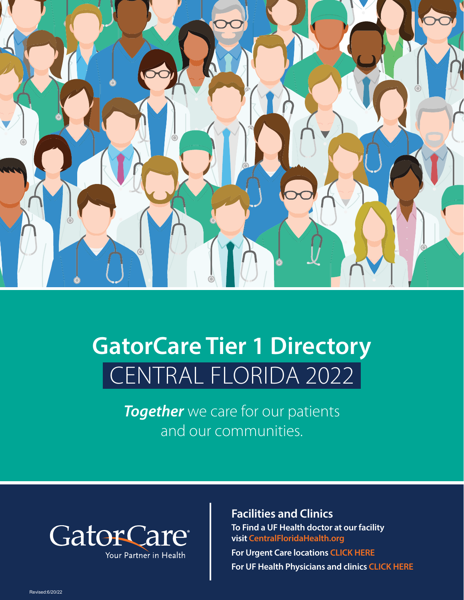

# **GatorCare Tier 1 Directory** CENTRAL FLORIDA 2022

**Together** we care for our patients and our communities.



**Facilities and Clinics To Find a UF Health doctor at our facility visit [CentralFloridaHealth.org](http://CentralFloridaHealth.org)**

**For Urgent Care locations [CLICK HERE](https://gatorcare.org/wordpress/files/2021/12/160769NEW_12.10.21-Urgent_Care_Centers_CENT_FL_Map_F.pdf) For UF Health Physicians and clinics [CLICK HERE](https://gatorcare.org/wordpress/files/2021/09/UFHP-2021-22-Practice-Directory-Pamphlet-Blue-3.pdf)**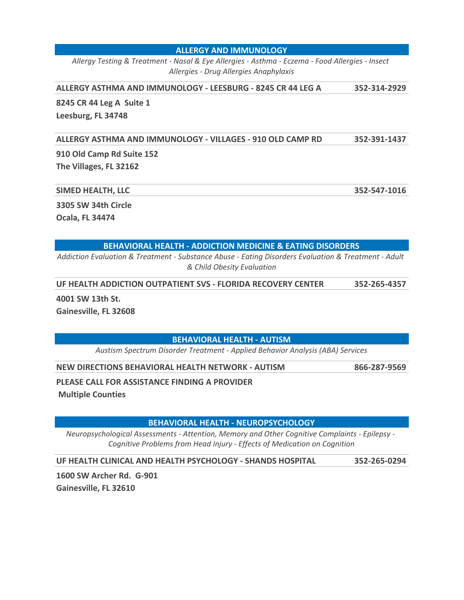#### **ALLERGY AND IMMUNOLOGY**

*Allergy Testing & Treatment - Nasal & Eye Allergies - Asthma - Eczema - Food Allergies - Insect Allergies - Drug Allergies Anaphylaxis*

#### **ALLERGY ASTHMA AND IMMUNOLOGY - LEESBURG - 8245 CR 44 LEG A 352-314-2929**

**8245 CR 44 Leg A Suite 1 Leesburg, FL 34748** 

**ALLERGY ASTHMA AND IMMUNOLOGY - VILLAGES - 910 OLD CAMP RD 352-391-1437**

**910 Old Camp Rd Suite 152 The Villages, FL 32162** 

#### **SIMED HEALTH, LLC 352-547-1016**

**3305 SW 34th Circle** 

**Ocala, FL 34474** 

#### **BEHAVIORAL HEALTH - ADDICTION MEDICINE & EATING DISORDERS**

*Addiction Evaluation & Treatment - Substance Abuse - Eating Disorders Evaluation & Treatment - Adult & Child Obesity Evaluation*

**UF HEALTH ADDICTION OUTPATIENT SVS - FLORIDA RECOVERY CENTER 352-265-4357**

**4001 SW 13th St.** 

**Gainesville, FL 32608** 

**BEHAVIORAL HEALTH - AUTISM**

*Austism Spectrum Disorder Treatment - Applied Behavior Analysis (ABA) Services*

**NEW DIRECTIONS BEHAVIORAL HEALTH NETWORK - AUTISM 866-287-9569**

**PLEASE CALL FOR ASSISTANCE FINDING A PROVIDER** 

 **Multiple Counties**

**BEHAVIORAL HEALTH - NEUROPSYCHOLOGY**

*Neuropsychological Assessments - Attention, Memory and Other Cognitive Complaints - Epilepsy - Cognitive Problems from Head Injury - Effects of Medication on Cognition*

**UF HEALTH CLINICAL AND HEALTH PSYCHOLOGY - SHANDS HOSPITAL 352-265-0294**

**1600 SW Archer Rd. G-901 Gainesville, FL 32610**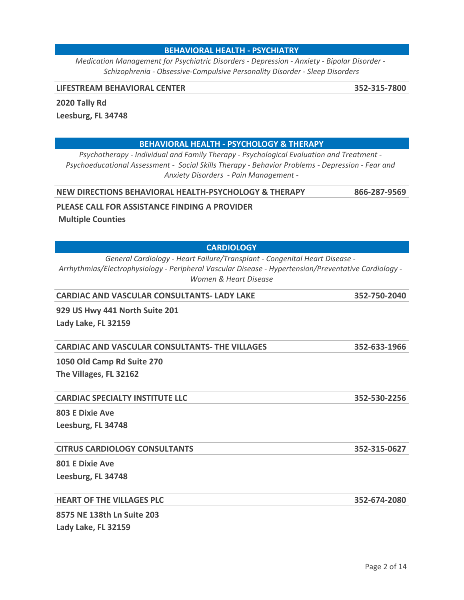#### **BEHAVIORAL HEALTH - PSYCHIATRY**

*Medication Management for Psychiatric Disorders - Depression - Anxiety - Bipolar Disorder - Schizophrenia - Obsessive-Compulsive Personality Disorder - Sleep Disorders*

#### **LIFESTREAM BEHAVIORAL CENTER 352-315-7800**

**2020 Tally Rd** 

**Leesburg, FL 34748** 

#### **BEHAVIORAL HEALTH - PSYCHOLOGY & THERAPY**

*Psychotherapy - Individual and Family Therapy - Psychological Evaluation and Treatment - Psychoeducational Assessment - Social Skills Therapy - Behavior Problems - Depression - Fear and Anxiety Disorders - Pain Management -*

#### **NEW DIRECTIONS BEHAVIORAL HEALTH-PSYCHOLOGY & THERAPY 866-287-9569**

#### **PLEASE CALL FOR ASSISTANCE FINDING A PROVIDER**

 **Multiple Counties**

#### **CARDIOLOGY**

*General Cardiology - Heart Failure/Transplant - Congenital Heart Disease - Arrhythmias/Electrophysiology - Peripheral Vascular Disease - Hypertension/Preventative Cardiology - Women & Heart Disease*

| <b>CARDIAC AND VASCULAR CONSULTANTS- LADY LAKE</b>    | 352-750-2040 |  |  |  |  |
|-------------------------------------------------------|--------------|--|--|--|--|
| 929 US Hwy 441 North Suite 201                        |              |  |  |  |  |
| Lady Lake, FL 32159                                   |              |  |  |  |  |
| <b>CARDIAC AND VASCULAR CONSULTANTS- THE VILLAGES</b> | 352-633-1966 |  |  |  |  |
| 1050 Old Camp Rd Suite 270                            |              |  |  |  |  |
| The Villages, FL 32162                                |              |  |  |  |  |

#### **CARDIAC SPECIALTY INSTITUTE LLC 352-530-2256**

**803 E Dixie Ave Leesburg, FL 34748** 

#### **CITRUS CARDIOLOGY CONSULTANTS 352-315-0627**

**801 E Dixie Ave Leesburg, FL 34748** 

#### **HEART OF THE VILLAGES PLC 352-674-2080**

**8575 NE 138th Ln Suite 203 Lady Lake, FL 32159**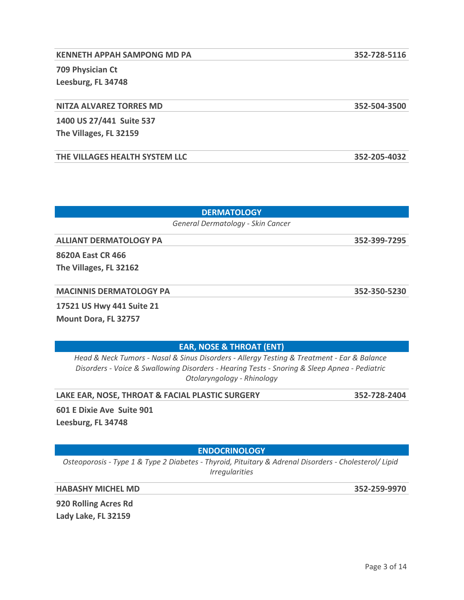# **KENNETH APPAH SAMPONG MD PA 352-728-5116 709 Physician Ct Leesburg, FL 34748**

## **NITZA ALVAREZ TORRES MD 352-504-3500**

**1400 US 27/441 Suite 537 The Villages, FL 32159** 

**THE VILLAGES HEALTH SYSTEM LLC 352-205-4032**

**DERMATOLOGY**

*General Dermatology - Skin Cancer*

**ALLIANT DERMATOLOGY PA 352-399-7295**

**8620A East CR 466** 

|  |  |  |  |  | <b>MACINNIS DERMATOLOGY PA</b> |  |
|--|--|--|--|--|--------------------------------|--|
|  |  |  |  |  |                                |  |

**17521 US Hwy 441 Suite 21**

**Mount Dora, FL 32757** 

**EAR, NOSE & THROAT (ENT)**

*Head & Neck Tumors - Nasal & Sinus Disorders - Allergy Testing & Treatment - Ear & Balance Disorders - Voice & Swallowing Disorders - Hearing Tests - Snoring & Sleep Apnea - Pediatric Otolaryngology - Rhinology*

**LAKE EAR, NOSE, THROAT & FACIAL PLASTIC SURGERY 352-728-2404**

**601 E Dixie Ave Suite 901 Leesburg, FL 34748** 

**ENDOCRINOLOGY**

*Osteoporosis - Type 1 & Type 2 Diabetes - Thyroid, Pituitary & Adrenal Disorders - Cholesterol/ Lipid Irregularities*

**HABASHY MICHEL MD 352-259-9970**

**920 Rolling Acres Rd Lady Lake, FL 32159** 

**MACINNIS DERMATOLOGY PA 352-350-5230**

**The Villages, FL 32162**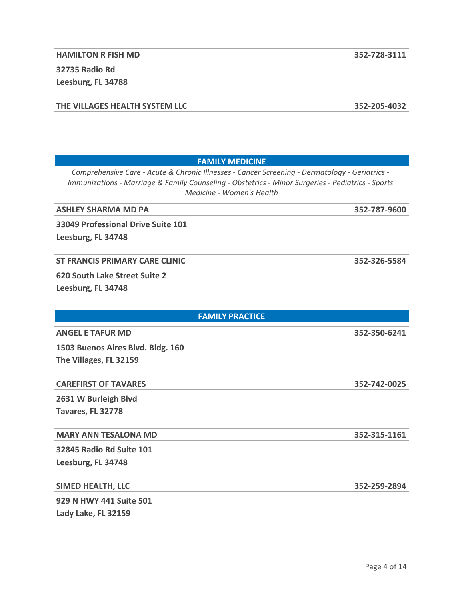**32735 Radio Rd Leesburg, FL 34788** 

**THE VILLAGES HEALTH SYSTEM LLC 352-205-4032**

# **FAMILY MEDICINE**

*Comprehensive Care - Acute & Chronic Illnesses - Cancer Screening - Dermatology - Geriatrics - Immunizations - Marriage & Family Counseling - Obstetrics - Minor Surgeries - Pediatrics - Sports Medicine - Women's Health*

**ASHLEY SHARMA MD PA 352-787-9600**

**33049 Professional Drive Suite 101 Leesburg, FL 34748** 

**ST FRANCIS PRIMARY CARE CLINIC 352-326-5584**

**620 South Lake Street Suite 2 Leesburg, FL 34748** 

| <b>FAMILY PRACTICE</b>            |              |  |  |  |
|-----------------------------------|--------------|--|--|--|
| <b>ANGEL E TAFUR MD</b>           | 352-350-6241 |  |  |  |
| 1503 Buenos Aires Blvd. Bldg. 160 |              |  |  |  |
| The Villages, FL 32159            |              |  |  |  |
| <b>CAREFIRST OF TAVARES</b>       | 352-742-0025 |  |  |  |
| 2631 W Burleigh Blvd              |              |  |  |  |
| Tavares, FL 32778                 |              |  |  |  |
| <b>MARY ANN TESALONA MD</b>       | 352-315-1161 |  |  |  |
| 32845 Radio Rd Suite 101          |              |  |  |  |
| Leesburg, FL 34748                |              |  |  |  |
| <b>SIMED HEALTH, LLC</b>          | 352-259-2894 |  |  |  |
| 929 N HWY 441 Suite 501           |              |  |  |  |

**Lady Lake, FL 32159**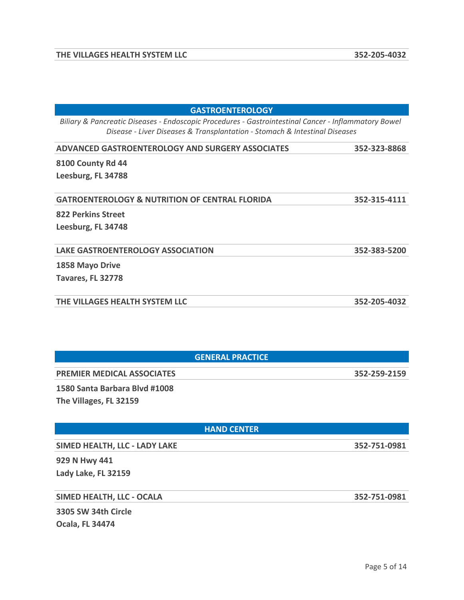| <b>GASTROENTEROLOGY</b>                                                                                                                                                            |              |
|------------------------------------------------------------------------------------------------------------------------------------------------------------------------------------|--------------|
| Biliary & Pancreatic Diseases - Endoscopic Procedures - Gastrointestinal Cancer - Inflammatory Bowel<br>Disease - Liver Diseases & Transplantation - Stomach & Intestinal Diseases |              |
| <b>ADVANCED GASTROENTEROLOGY AND SURGERY ASSOCIATES</b>                                                                                                                            | 352-323-8868 |
| <b>8100 County Rd 44</b>                                                                                                                                                           |              |
| Leesburg, FL 34788                                                                                                                                                                 |              |
| <b>GATROENTEROLOGY &amp; NUTRITION OF CENTRAL FLORIDA</b>                                                                                                                          | 352-315-4111 |
| 822 Perkins Street                                                                                                                                                                 |              |
| Leesburg, FL 34748                                                                                                                                                                 |              |
| <b>LAKE GASTROENTEROLOGY ASSOCIATION</b>                                                                                                                                           | 352-383-5200 |
| 1858 Mayo Drive                                                                                                                                                                    |              |
| Tavares, FL 32778                                                                                                                                                                  |              |
| THE VILLAGES HEALTH SYSTEM LLC                                                                                                                                                     | 352-205-4032 |
|                                                                                                                                                                                    |              |

| <b>GENERAL PRACTICE</b>           |              |
|-----------------------------------|--------------|
| <b>PREMIER MEDICAL ASSOCIATES</b> | 352-259-2159 |
| $\frac{1}{2}$<br>_ _ _ _          |              |

**1580 Santa Barbara Blvd #1008 The Villages, FL 32159** 

#### **HAND CENTER**

**SIMED HEALTH, LLC - LADY LAKE 352-751-0981**

**929 N Hwy 441 Lady Lake, FL 32159** 

**SIMED HEALTH, LLC - OCALA 352-751-0981**

**3305 SW 34th Circle Ocala, FL 34474**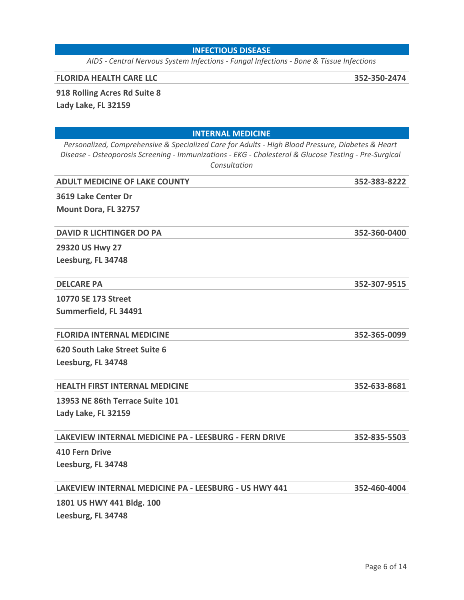#### **INFECTIOUS DISEASE**

*AIDS - Central Nervous System Infections - Fungal Infections - Bone & Tissue Infections*

#### **FLORIDA HEALTH CARE LLC 352-350-2474**

## **918 Rolling Acres Rd Suite 8**

**Lady Lake, FL 32159** 

| <b>INTERNAL MEDICINE</b>                                                                                                                                                                                                   |              |
|----------------------------------------------------------------------------------------------------------------------------------------------------------------------------------------------------------------------------|--------------|
| Personalized, Comprehensive & Specialized Care for Adults - High Blood Pressure, Diabetes & Heart<br>Disease - Osteoporosis Screening - Immunizations - EKG - Cholesterol & Glucose Testing - Pre-Surgical<br>Consultation |              |
| <b>ADULT MEDICINE OF LAKE COUNTY</b>                                                                                                                                                                                       | 352-383-8222 |
| 3619 Lake Center Dr                                                                                                                                                                                                        |              |
| Mount Dora, FL 32757                                                                                                                                                                                                       |              |
| <b>DAVID R LICHTINGER DO PA</b>                                                                                                                                                                                            | 352-360-0400 |
| 29320 US Hwy 27                                                                                                                                                                                                            |              |
| Leesburg, FL 34748                                                                                                                                                                                                         |              |
| <b>DELCARE PA</b>                                                                                                                                                                                                          | 352-307-9515 |
| 10770 SE 173 Street                                                                                                                                                                                                        |              |
| Summerfield, FL 34491                                                                                                                                                                                                      |              |
| <b>FLORIDA INTERNAL MEDICINE</b>                                                                                                                                                                                           | 352-365-0099 |
| 620 South Lake Street Suite 6                                                                                                                                                                                              |              |
| Leesburg, FL 34748                                                                                                                                                                                                         |              |
| <b>HEALTH FIRST INTERNAL MEDICINE</b>                                                                                                                                                                                      | 352-633-8681 |
| 13953 NE 86th Terrace Suite 101                                                                                                                                                                                            |              |
| Lady Lake, FL 32159                                                                                                                                                                                                        |              |
| <b>LAKEVIEW INTERNAL MEDICINE PA - LEESBURG - FERN DRIVE</b>                                                                                                                                                               | 352-835-5503 |
| <b>410 Fern Drive</b>                                                                                                                                                                                                      |              |
| Leesburg, FL 34748                                                                                                                                                                                                         |              |
| LAKEVIEW INTERNAL MEDICINE PA - LEESBURG - US HWY 441                                                                                                                                                                      | 352-460-4004 |
| 1801 US HWY 441 Bldg. 100                                                                                                                                                                                                  |              |
| Leesburg, FL 34748                                                                                                                                                                                                         |              |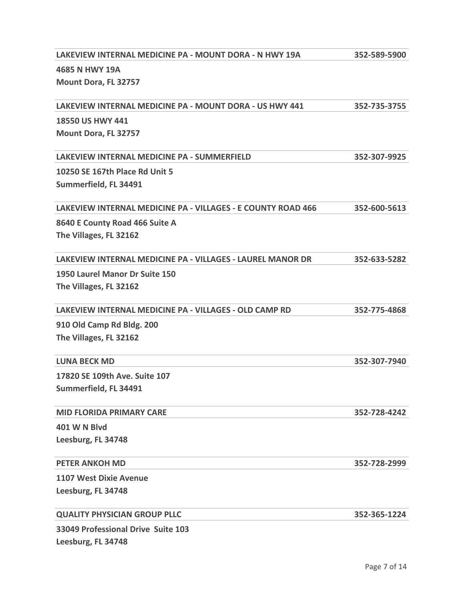| LAKEVIEW INTERNAL MEDICINE PA - MOUNT DORA - N HWY 19A              | 352-589-5900 |
|---------------------------------------------------------------------|--------------|
| 4685 N HWY 19A                                                      |              |
| Mount Dora, FL 32757                                                |              |
|                                                                     |              |
| <b>LAKEVIEW INTERNAL MEDICINE PA - MOUNT DORA - US HWY 441</b>      | 352-735-3755 |
| 18550 US HWY 441                                                    |              |
| Mount Dora, FL 32757                                                |              |
| LAKEVIEW INTERNAL MEDICINE PA - SUMMERFIELD                         | 352-307-9925 |
| 10250 SE 167th Place Rd Unit 5                                      |              |
| Summerfield, FL 34491                                               |              |
| <b>LAKEVIEW INTERNAL MEDICINE PA - VILLAGES - E COUNTY ROAD 466</b> | 352-600-5613 |
| 8640 E County Road 466 Suite A                                      |              |
| The Villages, FL 32162                                              |              |
|                                                                     |              |
| <b>LAKEVIEW INTERNAL MEDICINE PA - VILLAGES - LAUREL MANOR DR</b>   | 352-633-5282 |
| 1950 Laurel Manor Dr Suite 150                                      |              |
| The Villages, FL 32162                                              |              |
| LAKEVIEW INTERNAL MEDICINE PA - VILLAGES - OLD CAMP RD              | 352-775-4868 |
| 910 Old Camp Rd Bldg. 200                                           |              |
| The Villages, FL 32162                                              |              |
| <b>LUNA BECK MD</b>                                                 | 352-307-7940 |
| 17820 SE 109th Ave. Suite 107                                       |              |
| Summerfield, FL 34491                                               |              |
| <b>MID FLORIDA PRIMARY CARE</b>                                     | 352-728-4242 |
| <b>401 W N Blvd</b>                                                 |              |
| Leesburg, FL 34748                                                  |              |
| <b>PETER ANKOH MD</b>                                               | 352-728-2999 |
| <b>1107 West Dixie Avenue</b>                                       |              |
| Leesburg, FL 34748                                                  |              |
| <b>QUALITY PHYSICIAN GROUP PLLC</b>                                 | 352-365-1224 |
| 33049 Professional Drive Suite 103                                  |              |
| Leesburg, FL 34748                                                  |              |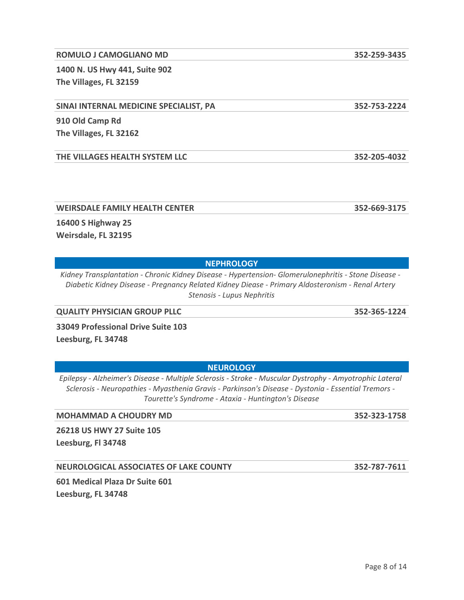#### **ROMULO J CAMOGLIANO MD 352-259-3435**

**1400 N. US Hwy 441, Suite 902 The Villages, FL 32159** 

#### **SINAI INTERNAL MEDICINE SPECIALIST, PA 352-753-2224**

**910 Old Camp Rd The Villages, FL 32162** 

**THE VILLAGES HEALTH SYSTEM LLC 352-205-4032**

**WEIRSDALE FAMILY HEALTH CENTER 352-669-3175**

**16400 S Highway 25 Weirsdale, FL 32195** 

*Kidney Transplantation - Chronic Kidney Disease - Hypertension- Glomerulonephritis - Stone Disease - Diabetic Kidney Disease - Pregnancy Related Kidney Diease - Primary Aldosteronism - Renal Artery Stenosis - Lupus Nephritis*

**NEPHROLOGY**

**QUALITY PHYSICIAN GROUP PLLC 352-365-1224**

**33049 Professional Drive Suite 103 Leesburg, FL 34748** 

**NEUROLOGY** *Epilepsy - Alzheimer's Disease - Multiple Sclerosis - Stroke - Muscular Dystrophy - Amyotrophic Lateral Sclerosis - Neuropathies - Myasthenia Gravis - Parkinson's Disease - Dystonia - Essential Tremors -* 

**MOHAMMAD A CHOUDRY MD 352-323-1758**

**26218 US HWY 27 Suite 105**

**Leesburg, Fl 34748** 

**NEUROLOGICAL ASSOCIATES OF LAKE COUNTY 352-787-7611**

**601 Medical Plaza Dr Suite 601 Leesburg, FL 34748** 

*Tourette's Syndrome - Ataxia - Huntington's Disease*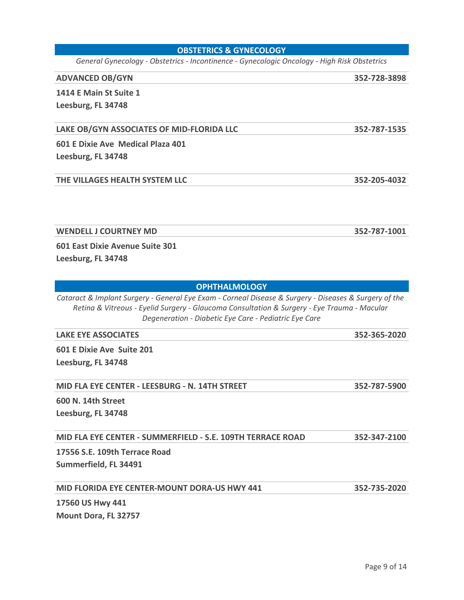#### **OBSTETRICS & GYNECOLOGY**

*General Gynecology - Obstetrics - Incontinence - Gynecologic Oncology - High Risk Obstetrics*

#### **ADVANCED OB/GYN 352-728-3898**

**1414 E Main St Suite 1**

**Leesburg, FL 34748** 

#### **LAKE OB/GYN ASSOCIATES OF MID-FLORIDA LLC 352-787-1535**

**601 E Dixie Ave Medical Plaza 401 Leesburg, FL 34748** 

#### **THE VILLAGES HEALTH SYSTEM LLC 352-205-4032**

**WENDELL J COURTNEY MD 352-787-1001**

**601 East Dixie Avenue Suite 301 Leesburg, FL 34748** 

#### **OPHTHALMOLOGY**

*Cataract & Implant Surgery - General Eye Exam - Corneal Disease & Surgery - Diseases & Surgery of the Retina & Vitreous - Eyelid Surgery - Glaucoma Consultation & Surgery - Eye Trauma - Macular Degeneration - Diabetic Eye Care - Pediatric Eye Care*

**LAKE EYE ASSOCIATES 352-365-2020**

**601 E Dixie Ave Suite 201 Leesburg, FL 34748** 

**MID FLA EYE CENTER - LEESBURG - N. 14TH STREET 352-787-5900**

**600 N. 14th Street Leesburg, FL 34748** 

**MID FLA EYE CENTER - SUMMERFIELD - S.E. 109TH TERRACE ROAD 352-347-2100**

**17556 S.E. 109th Terrace Road Summerfield, FL 34491** 

**MID FLORIDA EYE CENTER-MOUNT DORA-US HWY 441 352-735-2020**

**17560 US Hwy 441 Mount Dora, FL 32757**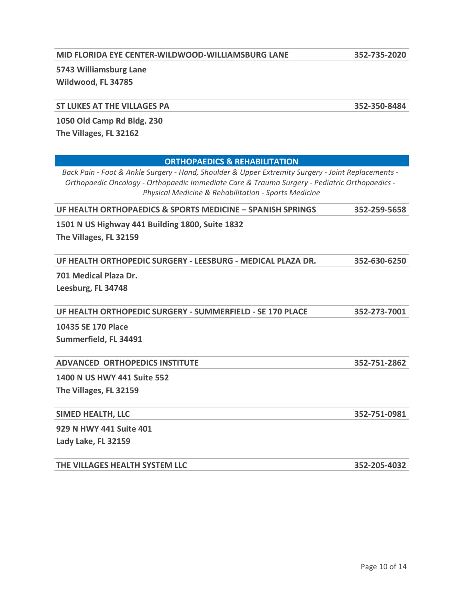#### **MID FLORIDA EYE CENTER-WILDWOOD-WILLIAMSBURG LANE 352-735-2020**

**5743 Williamsburg Lane Wildwood, FL 34785** 

#### **ST LUKES AT THE VILLAGES PA 352-350-8484**

**1050 Old Camp Rd Bldg. 230**

**The Villages, FL 32162** 

#### **ORTHOPAEDICS & REHABILITATION**

*Back Pain - Foot & Ankle Surgery - Hand, Shoulder & Upper Extremity Surgery - Joint Replacements - Orthopaedic Oncology - Orthopaedic Immediate Care & Trauma Surgery - Pediatric Orthopaedics - Physical Medicine & Rehabilitation - Sports Medicine*

**UF HEALTH ORTHOPAEDICS & SPORTS MEDICINE – SPANISH SPRINGS 352-259-5658**

**1501 N US Highway 441 Building 1800, Suite 1832**

**The Villages, FL 32159** 

|--|

**701 Medical Plaza Dr. Leesburg, FL 34748** 

**UF HEALTH ORTHOPEDIC SURGERY - SUMMERFIELD - SE 170 PLACE 352-273-7001**

**10435 SE 170 Place Summerfield, FL 34491** 

#### **ADVANCED ORTHOPEDICS INSTITUTE 352-751-2862**

**1400 N US HWY 441 Suite 552 The Villages, FL 32159** 

#### **SIMED HEALTH, LLC 352-751-0981**

**929 N HWY 441 Suite 401 Lady Lake, FL 32159** 

**THE VILLAGES HEALTH SYSTEM LLC 352-205-4032**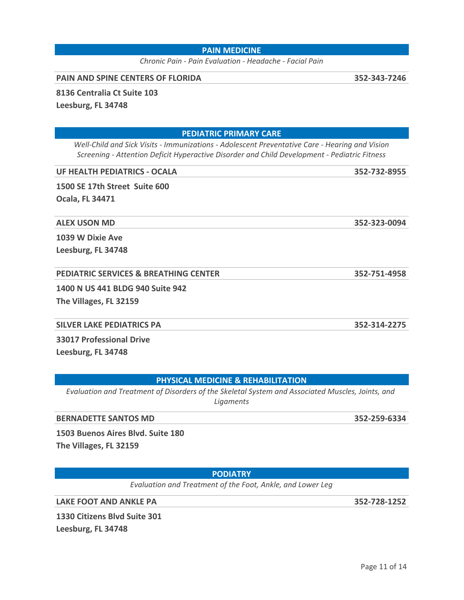#### **PAIN MEDICINE**

*Chronic Pain - Pain Evaluation - Headache - Facial Pain*

#### **PAIN AND SPINE CENTERS OF FLORIDA 352-343-7246**

**8136 Centralia Ct Suite 103**

**Leesburg, FL 34748** 

**PEDIATRIC PRIMARY CARE**

 *Well-Child and Sick Visits - Immunizations - Adolescent Preventative Care - Hearing and Vision Screening - Attention Deficit Hyperactive Disorder and Child Development - Pediatric Fitness*

#### **UF HEALTH PEDIATRICS - OCALA 352-732-8955**

**1500 SE 17th Street Suite 600 Ocala, FL 34471** 

#### **ALEX USON MD 352-323-0094**

**1039 W Dixie Ave Leesburg, FL 34748** 

#### **PEDIATRIC SERVICES & BREATHING CENTER 352-751-4958**

**1400 N US 441 BLDG 940 Suite 942 The Villages, FL 32159** 

#### **SILVER LAKE PEDIATRICS PA 352-314-2275**

**33017 Professional Drive Leesburg, FL 34748** 

#### **PHYSICAL MEDICINE & REHABILITATION**

*Evaluation and Treatment of Disorders of the Skeletal System and Associated Muscles, Joints, and Ligaments*

#### **BERNADETTE SANTOS MD** 352-259-6334

**1503 Buenos Aires Blvd. Suite 180 The Villages, FL 32159** 

**PODIATRY**

*Evaluation and Treatment of the Foot, Ankle, and Lower Leg*

**LAKE FOOT AND ANKLE PA 352-728-1252**

**1330 Citizens Blvd Suite 301 Leesburg, FL 34748**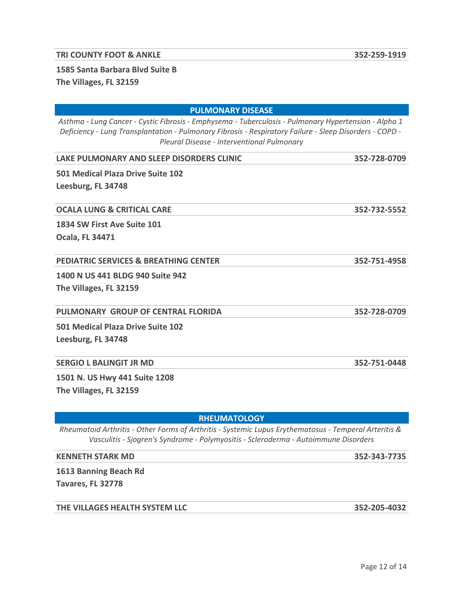#### **TRI COUNTY FOOT & ANKLE 352-259-1919**

## **1585 Santa Barbara Blvd Suite B The Villages, FL 32159**

| <b>PULMONARY DISEASE</b>                                                                                                                                                                                                                                      |              |  |  |  |
|---------------------------------------------------------------------------------------------------------------------------------------------------------------------------------------------------------------------------------------------------------------|--------------|--|--|--|
| Asthma - Lung Cancer - Cystic Fibrosis - Emphysema - Tuberculosis - Pulmonary Hypertension - Alpha 1<br>Deficiency - Lung Transplantation - Pulmonary Fibrosis - Respiratory Failure - Sleep Disorders - COPD -<br>Pleural Disease - Interventional Pulmonary |              |  |  |  |
| LAKE PULMONARY AND SLEEP DISORDERS CLINIC                                                                                                                                                                                                                     | 352-728-0709 |  |  |  |
| 501 Medical Plaza Drive Suite 102<br>Leesburg, FL 34748                                                                                                                                                                                                       |              |  |  |  |
| <b>OCALA LUNG &amp; CRITICAL CARE</b>                                                                                                                                                                                                                         | 352-732-5552 |  |  |  |
| 1834 SW First Ave Suite 101<br><b>Ocala, FL 34471</b>                                                                                                                                                                                                         |              |  |  |  |
| <b>PEDIATRIC SERVICES &amp; BREATHING CENTER</b>                                                                                                                                                                                                              | 352-751-4958 |  |  |  |
| 1400 N US 441 BLDG 940 Suite 942<br>The Villages, FL 32159                                                                                                                                                                                                    |              |  |  |  |
| PULMONARY GROUP OF CENTRAL FLORIDA                                                                                                                                                                                                                            | 352-728-0709 |  |  |  |
| 501 Medical Plaza Drive Suite 102<br>Leesburg, FL 34748                                                                                                                                                                                                       |              |  |  |  |

#### **SERGIO L BALINGIT JR MD 352-751-0448**

**1501 N. US Hwy 441 Suite 1208 The Villages, FL 32159** 

#### **RHEUMATOLOGY**

*Rheumatoid Arthritis - Other Forms of Arthritis - Systemic Lupus Erythematosus - Temperal Arteritis & Vasculitis - Sjogren's Syndrome - Polymyositis - Scleroderma - Autoimmune Disorders*

#### **KENNETH STARK MD 352-343-7735**

**1613 Banning Beach Rd** 

**Tavares, FL 32778** 

#### **THE VILLAGES HEALTH SYSTEM LLC 352-205-4032**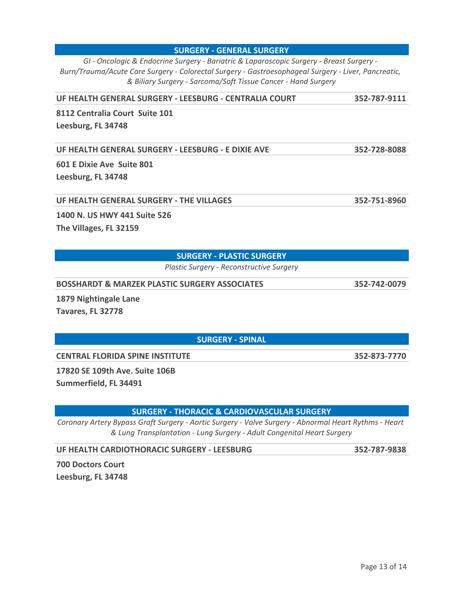*GI - Oncologic & Endocrine Surgery - Bariatric & Laparoscopic Surgery - Breast Surgery - Burn/Trauma/Acute Care Surgery - Colorectal Surgery - Gastroesophageal Surgery - Liver, Pancreatic, & Biliary Surgery - Sarcoma/Soft Tissue Cancer - Hand Surgery*

**UF HEALTH GENERAL SURGERY - LEESBURG - CENTRALIA COURT 352-787-9111**

**8112 Centralia Court Suite 101 Leesburg, FL 34748** 

**UF HEALTH GENERAL SURGERY - LEESBURG - E DIXIE AVE 352-728-8088**

**601 E Dixie Ave Suite 801 Leesburg, FL 34748** 

**UF HEALTH GENERAL SURGERY - THE VILLAGES 352-751-8960**

**1400 N. US HWY 441 Suite 526**

**The Villages, FL 32159** 

#### **SURGERY - PLASTIC SURGERY**

*Plastic Surgery - Reconstructive Surgery*

**BOSSHARDT & MARZEK PLASTIC SURGERY ASSOCIATES 352-742-0079**

**1879 Nightingale Lane Tavares, FL 32778** 

**SURGERY - SPINAL**

**CENTRAL FLORIDA SPINE INSTITUTE 352-873-7770**

**17820 SE 109th Ave. Suite 106B**

**Summerfield, FL 34491** 

**SURGERY - THORACIC & CARDIOVASCULAR SURGERY**

*Coronary Artery Bypass Graft Surgery - Aortic Surgery - Valve Surgery - Abnormal Heart Rythms - Heart & Lung Transplantation - Lung Surgery - Adult Congenital Heart Surgery*

**UF HEALTH CARDIOTHORACIC SURGERY - LEESBURG 352-787-9838**

**700 Doctors Court Leesburg, FL 34748** 

**SURGERY - GENERAL SURGERY**